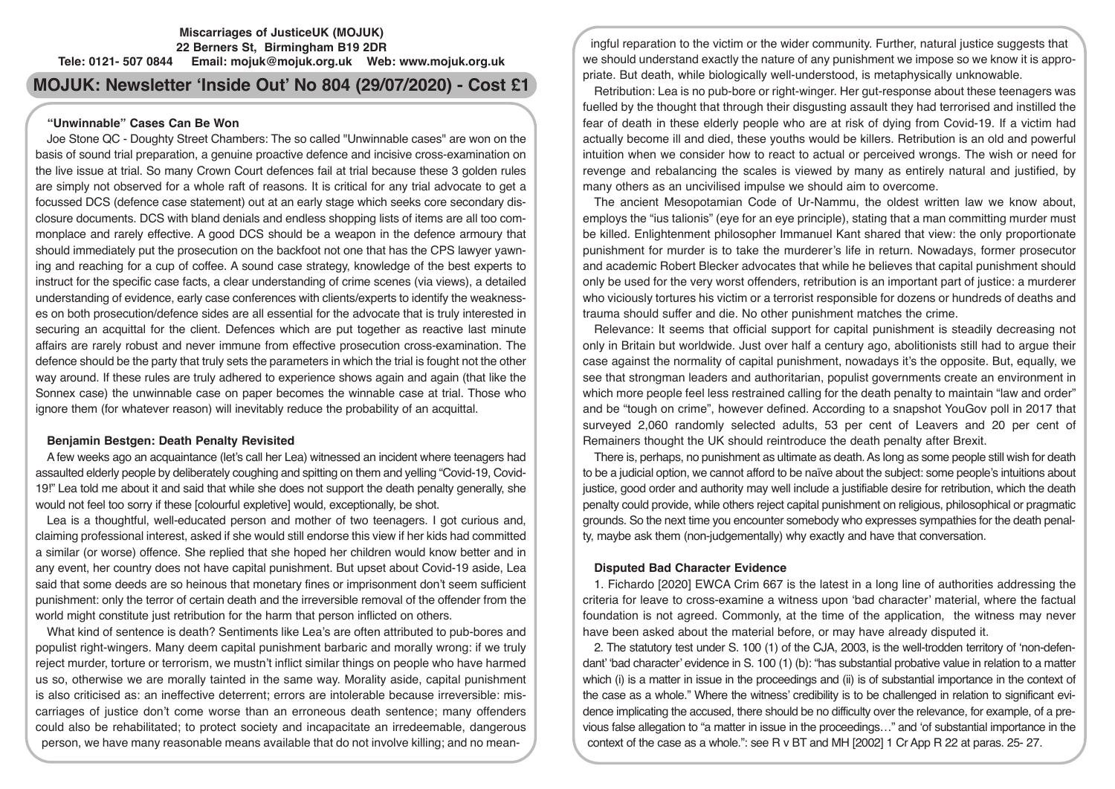## **Miscarriages of JusticeUK (MOJUK) 22 Berners St, Birmingham B19 2DR Tele: 0121- 507 0844 Email: mojuk@mojuk.org.uk Web: www.mojuk.org.uk**

# **MOJUK: Newsletter 'Inside Out' No 804 (29/07/2020) - Cost £1**

# **"Unwinnable" Cases Can Be Won**

Joe Stone QC - Doughty Street Chambers: The so called "Unwinnable cases" are won on the basis of sound trial preparation, a genuine proactive defence and incisive cross-examination on the live issue at trial. So many Crown Court defences fail at trial because these 3 golden rules are simply not observed for a whole raft of reasons. It is critical for any trial advocate to get a focussed DCS (defence case statement) out at an early stage which seeks core secondary disclosure documents. DCS with bland denials and endless shopping lists of items are all too commonplace and rarely effective. A good DCS should be a weapon in the defence armoury that should immediately put the prosecution on the backfoot not one that has the CPS lawyer yawning and reaching for a cup of coffee. A sound case strategy, knowledge of the best experts to instruct for the specific case facts, a clear understanding of crime scenes (via views), a detailed understanding of evidence, early case conferences with clients/experts to identify the weaknesses on both prosecution/defence sides are all essential for the advocate that is truly interested in securing an acquittal for the client. Defences which are put together as reactive last minute affairs are rarely robust and never immune from effective prosecution cross-examination. The defence should be the party that truly sets the parameters in which the trial is fought not the other way around. If these rules are truly adhered to experience shows again and again (that like the Sonnex case) the unwinnable case on paper becomes the winnable case at trial. Those who ignore them (for whatever reason) will inevitably reduce the probability of an acquittal.

## **Benjamin Bestgen: Death Penalty Revisited**

A few weeks ago an acquaintance (let's call her Lea) witnessed an incident where teenagers had assaulted elderly people by deliberately coughing and spitting on them and yelling "Covid-19, Covid-19!" Lea told me about it and said that while she does not support the death penalty generally, she would not feel too sorry if these [colourful expletive] would, exceptionally, be shot.

Lea is a thoughtful, well-educated person and mother of two teenagers. I got curious and, claiming professional interest, asked if she would still endorse this view if her kids had committed a similar (or worse) offence. She replied that she hoped her children would know better and in any event, her country does not have capital punishment. But upset about Covid-19 aside, Lea said that some deeds are so heinous that monetary fines or imprisonment don't seem sufficient punishment: only the terror of certain death and the irreversible removal of the offender from the world might constitute just retribution for the harm that person inflicted on others.

What kind of sentence is death? Sentiments like Lea's are often attributed to pub-bores and populist right-wingers. Many deem capital punishment barbaric and morally wrong: if we truly reject murder, torture or terrorism, we mustn't inflict similar things on people who have harmed us so, otherwise we are morally tainted in the same way. Morality aside, capital punishment is also criticised as: an ineffective deterrent; errors are intolerable because irreversible: miscarriages of justice don't come worse than an erroneous death sentence; many offenders could also be rehabilitated; to protect society and incapacitate an irredeemable, dangerous person, we have many reasonable means available that do not involve killing; and no mean-

ingful reparation to the victim or the wider community. Further, natural justice suggests that we should understand exactly the nature of any punishment we impose so we know it is appropriate. But death, while biologically well-understood, is metaphysically unknowable.

Retribution: Lea is no pub-bore or right-winger. Her gut-response about these teenagers was fuelled by the thought that through their disgusting assault they had terrorised and instilled the fear of death in these elderly people who are at risk of dying from Covid-19. If a victim had actually become ill and died, these youths would be killers. Retribution is an old and powerful intuition when we consider how to react to actual or perceived wrongs. The wish or need for revenge and rebalancing the scales is viewed by many as entirely natural and justified, by many others as an uncivilised impulse we should aim to overcome.

The ancient Mesopotamian Code of Ur-Nammu, the oldest written law we know about, employs the "ius talionis" (eye for an eye principle), stating that a man committing murder must be killed. Enlightenment philosopher Immanuel Kant shared that view: the only proportionate punishment for murder is to take the murderer's life in return. Nowadays, former prosecutor and academic Robert Blecker advocates that while he believes that capital punishment should only be used for the very worst offenders, retribution is an important part of justice: a murderer who viciously tortures his victim or a terrorist responsible for dozens or hundreds of deaths and trauma should suffer and die. No other punishment matches the crime.

Relevance: It seems that official support for capital punishment is steadily decreasing not only in Britain but worldwide. Just over half a century ago, abolitionists still had to argue their case against the normality of capital punishment, nowadays it's the opposite. But, equally, we see that strongman leaders and authoritarian, populist governments create an environment in which more people feel less restrained calling for the death penalty to maintain "law and order" and be "tough on crime", however defined. According to a snapshot YouGov poll in 2017 that surveyed 2,060 randomly selected adults, 53 per cent of Leavers and 20 per cent of Remainers thought the UK should reintroduce the death penalty after Brexit.

There is, perhaps, no punishment as ultimate as death. As long as some people still wish for death to be a judicial option, we cannot afford to be naïve about the subject: some people's intuitions about justice, good order and authority may well include a justifiable desire for retribution, which the death penalty could provide, while others reject capital punishment on religious, philosophical or pragmatic grounds. So the next time you encounter somebody who expresses sympathies for the death penalty, maybe ask them (non-judgementally) why exactly and have that conversation.

## **Disputed Bad Character Evidence**

1. Fichardo [2020] EWCA Crim 667 is the latest in a long line of authorities addressing the criteria for leave to cross-examine a witness upon 'bad character' material, where the factual foundation is not agreed. Commonly, at the time of the application, the witness may never have been asked about the material before, or may have already disputed it.

2. The statutory test under S. 100 (1) of the CJA, 2003, is the well-trodden territory of 'non-defendant' 'bad character' evidence in S. 100 (1) (b): "has substantial probative value in relation to a matter which (i) is a matter in issue in the proceedings and (ii) is of substantial importance in the context of the case as a whole." Where the witness' credibility is to be challenged in relation to significant evidence implicating the accused, there should be no difficulty over the relevance, for example, of a previous false allegation to "a matter in issue in the proceedings…" and 'of substantial importance in the context of the case as a whole.": see R v BT and MH [2002] 1 Cr App R 22 at paras. 25- 27.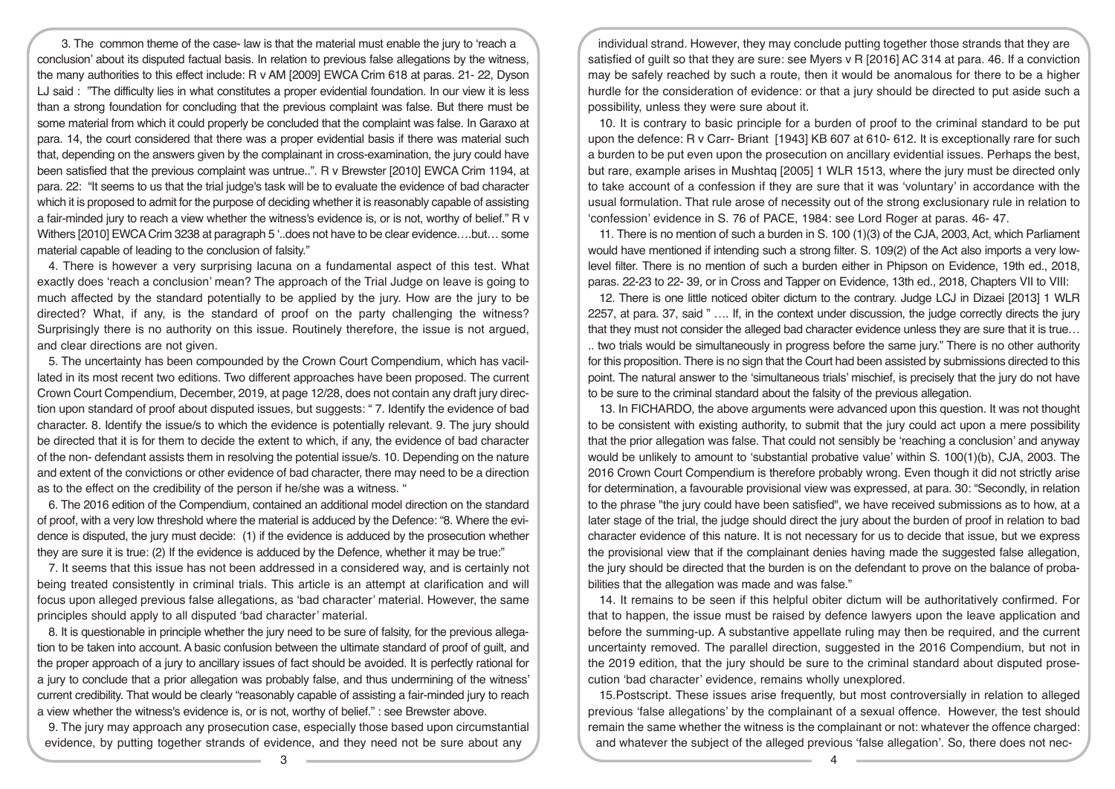3. The common theme of the case- law is that the material must enable the jury to 'reach a conclusion' about its disputed factual basis. In relation to previous false allegations by the witness, the many authorities to this effect include: R v AM [2009] EWCA Crim 618 at paras. 21- 22, Dyson LJ said : "The difficulty lies in what constitutes a proper evidential foundation. In our view it is less than a strong foundation for concluding that the previous complaint was false. But there must be some material from which it could properly be concluded that the complaint was false. In Garaxo at para. 14, the court considered that there was a proper evidential basis if there was material such that, depending on the answers given by the complainant in cross-examination, the jury could have been satisfied that the previous complaint was untrue..". R v Brewster [2010] EWCA Crim 1194, at para. 22: "It seems to us that the trial judge's task will be to evaluate the evidence of bad character which it is proposed to admit for the purpose of deciding whether it is reasonably capable of assisting a fair-minded jury to reach a view whether the witness's evidence is, or is not, worthy of belief." R v Withers [2010] EWCA Crim 3238 at paragraph 5 '..does not have to be clear evidence….but… some material capable of leading to the conclusion of falsity."

4. There is however a very surprising lacuna on a fundamental aspect of this test. What exactly does 'reach a conclusion' mean? The approach of the Trial Judge on leave is going to much affected by the standard potentially to be applied by the jury. How are the jury to be directed? What, if any, is the standard of proof on the party challenging the witness? Surprisingly there is no authority on this issue. Routinely therefore, the issue is not argued, and clear directions are not given.

5. The uncertainty has been compounded by the Crown Court Compendium, which has vacillated in its most recent two editions. Two different approaches have been proposed. The current Crown Court Compendium, December, 2019, at page 12/28, does not contain any draft jury direction upon standard of proof about disputed issues, but suggests: " 7. Identify the evidence of bad character. 8. Identify the issue/s to which the evidence is potentially relevant. 9. The jury should be directed that it is for them to decide the extent to which, if any, the evidence of bad character of the non- defendant assists them in resolving the potential issue/s. 10. Depending on the nature and extent of the convictions or other evidence of bad character, there may need to be a direction as to the effect on the credibility of the person if he/she was a witness. "

6. The 2016 edition of the Compendium, contained an additional model direction on the standard of proof, with a very low threshold where the material is adduced by the Defence: "8. Where the evidence is disputed, the jury must decide: (1) if the evidence is adduced by the prosecution whether they are sure it is true: (2) If the evidence is adduced by the Defence, whether it may be true:"

7. It seems that this issue has not been addressed in a considered way, and is certainly not being treated consistently in criminal trials. This article is an attempt at clarification and will focus upon alleged previous false allegations, as 'bad character' material. However, the same principles should apply to all disputed 'bad character' material.

8. It is questionable in principle whether the jury need to be sure of falsity, for the previous allegation to be taken into account. A basic confusion between the ultimate standard of proof of guilt, and the proper approach of a jury to ancillary issues of fact should be avoided. It is perfectly rational for a jury to conclude that a prior allegation was probably false, and thus undermining of the witness' current credibility. That would be clearly "reasonably capable of assisting a fair-minded jury to reach a view whether the witness's evidence is, or is not, worthy of belief." : see Brewster above.

9. The jury may approach any prosecution case, especially those based upon circumstantial evidence, by putting together strands of evidence, and they need not be sure about any

individual strand. However, they may conclude putting together those strands that they are satisfied of guilt so that they are sure: see Myers v R [2016] AC 314 at para. 46. If a conviction may be safely reached by such a route, then it would be anomalous for there to be a higher hurdle for the consideration of evidence: or that a jury should be directed to put aside such a possibility, unless they were sure about it.

10. It is contrary to basic principle for a burden of proof to the criminal standard to be put upon the defence: R v Carr- Briant [1943] KB 607 at 610- 612. It is exceptionally rare for such a burden to be put even upon the prosecution on ancillary evidential issues. Perhaps the best, but rare, example arises in Mushtaq [2005] 1 WLR 1513, where the jury must be directed only to take account of a confession if they are sure that it was 'voluntary' in accordance with the usual formulation. That rule arose of necessity out of the strong exclusionary rule in relation to 'confession' evidence in S. 76 of PACE, 1984: see Lord Roger at paras. 46- 47.

11. There is no mention of such a burden in S. 100 (1)(3) of the CJA, 2003, Act, which Parliament would have mentioned if intending such a strong filter. S. 109(2) of the Act also imports a very lowlevel filter. There is no mention of such a burden either in Phipson on Evidence, 19th ed., 2018, paras. 22-23 to 22- 39, or in Cross and Tapper on Evidence, 13th ed., 2018, Chapters VII to VIII:

12. There is one little noticed obiter dictum to the contrary. Judge LCJ in Dizaei [2013] 1 WLR 2257, at para. 37, said " …. If, in the context under discussion, the judge correctly directs the jury that they must not consider the alleged bad character evidence unless they are sure that it is true… .. two trials would be simultaneously in progress before the same jury." There is no other authority for this proposition. There is no sign that the Court had been assisted by submissions directed to this point. The natural answer to the 'simultaneous trials' mischief, is precisely that the jury do not have to be sure to the criminal standard about the falsity of the previous allegation.

13. In FICHARDO, the above arguments were advanced upon this question. It was not thought to be consistent with existing authority, to submit that the jury could act upon a mere possibility that the prior allegation was false. That could not sensibly be 'reaching a conclusion' and anyway would be unlikely to amount to 'substantial probative value' within S. 100(1)(b), CJA, 2003. The 2016 Crown Court Compendium is therefore probably wrong. Even though it did not strictly arise for determination, a favourable provisional view was expressed, at para. 30: "Secondly, in relation to the phrase "the jury could have been satisfied", we have received submissions as to how, at a later stage of the trial, the judge should direct the jury about the burden of proof in relation to bad character evidence of this nature. It is not necessary for us to decide that issue, but we express the provisional view that if the complainant denies having made the suggested false allegation, the jury should be directed that the burden is on the defendant to prove on the balance of probabilities that the allegation was made and was false."

14. It remains to be seen if this helpful obiter dictum will be authoritatively confirmed. For that to happen, the issue must be raised by defence lawyers upon the leave application and before the summing-up. A substantive appellate ruling may then be required, and the current uncertainty removed. The parallel direction, suggested in the 2016 Compendium, but not in the 2019 edition, that the jury should be sure to the criminal standard about disputed prosecution 'bad character' evidence, remains wholly unexplored.

15.Postscript. These issues arise frequently, but most controversially in relation to alleged previous 'false allegations' by the complainant of a sexual offence. However, the test should remain the same whether the witness is the complainant or not: whatever the offence charged: and whatever the subject of the alleged previous 'false allegation'. So, there does not nec-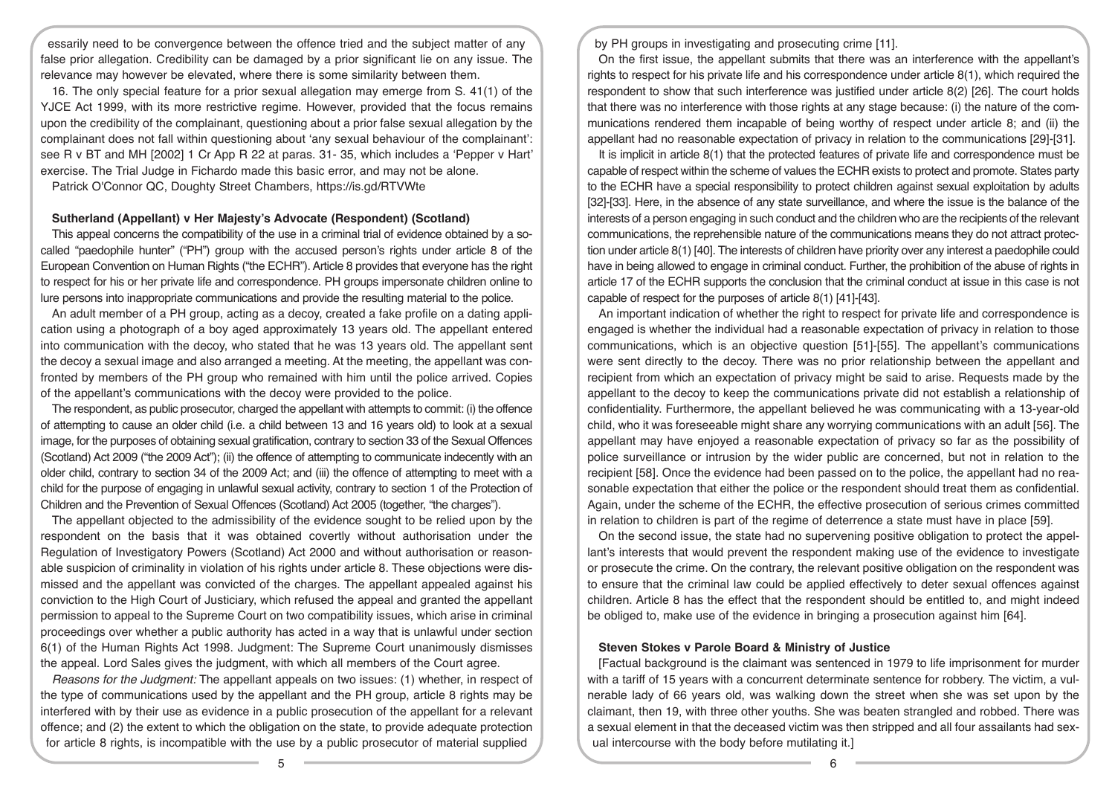essarily need to be convergence between the offence tried and the subject matter of any false prior allegation. Credibility can be damaged by a prior significant lie on any issue. The relevance may however be elevated, where there is some similarity between them.

16. The only special feature for a prior sexual allegation may emerge from S. 41(1) of the YJCE Act 1999, with its more restrictive regime. However, provided that the focus remains upon the credibility of the complainant, questioning about a prior false sexual allegation by the complainant does not fall within questioning about 'any sexual behaviour of the complainant': see R v BT and MH [2002] 1 Cr App R 22 at paras. 31- 35, which includes a 'Pepper v Hart' exercise. The Trial Judge in Fichardo made this basic error, and may not be alone.

Patrick O'Connor QC, Doughty Street Chambers, https://is.gd/RTVWte

## **Sutherland (Appellant) v Her Majesty's Advocate (Respondent) (Scotland)**

This appeal concerns the compatibility of the use in a criminal trial of evidence obtained by a socalled "paedophile hunter" ("PH") group with the accused person's rights under article 8 of the European Convention on Human Rights ("the ECHR"). Article 8 provides that everyone has the right to respect for his or her private life and correspondence. PH groups impersonate children online to lure persons into inappropriate communications and provide the resulting material to the police.

An adult member of a PH group, acting as a decoy, created a fake profile on a dating application using a photograph of a boy aged approximately 13 years old. The appellant entered into communication with the decoy, who stated that he was 13 years old. The appellant sent the decoy a sexual image and also arranged a meeting. At the meeting, the appellant was confronted by members of the PH group who remained with him until the police arrived. Copies of the appellant's communications with the decoy were provided to the police.

The respondent, as public prosecutor, charged the appellant with attempts to commit: (i) the offence of attempting to cause an older child (i.e. a child between 13 and 16 years old) to look at a sexual image, for the purposes of obtaining sexual gratification, contrary to section 33 of the Sexual Offences (Scotland) Act 2009 ("the 2009 Act"); (ii) the offence of attempting to communicate indecently with an older child, contrary to section 34 of the 2009 Act; and (iii) the offence of attempting to meet with a child for the purpose of engaging in unlawful sexual activity, contrary to section 1 of the Protection of Children and the Prevention of Sexual Offences (Scotland) Act 2005 (together, "the charges").

The appellant objected to the admissibility of the evidence sought to be relied upon by the respondent on the basis that it was obtained covertly without authorisation under the Regulation of Investigatory Powers (Scotland) Act 2000 and without authorisation or reasonable suspicion of criminality in violation of his rights under article 8. These objections were dismissed and the appellant was convicted of the charges. The appellant appealed against his conviction to the High Court of Justiciary, which refused the appeal and granted the appellant permission to appeal to the Supreme Court on two compatibility issues, which arise in criminal proceedings over whether a public authority has acted in a way that is unlawful under section 6(1) of the Human Rights Act 1998. Judgment: The Supreme Court unanimously dismisses the appeal. Lord Sales gives the judgment, with which all members of the Court agree.

*Reasons for the Judgment:* The appellant appeals on two issues: (1) whether, in respect of the type of communications used by the appellant and the PH group, article 8 rights may be interfered with by their use as evidence in a public prosecution of the appellant for a relevant offence; and (2) the extent to which the obligation on the state, to provide adequate protection for article 8 rights, is incompatible with the use by a public prosecutor of material supplied

by PH groups in investigating and prosecuting crime [11].

On the first issue, the appellant submits that there was an interference with the appellant's rights to respect for his private life and his correspondence under article 8(1), which required the respondent to show that such interference was justified under article 8(2) [26]. The court holds that there was no interference with those rights at any stage because: (i) the nature of the communications rendered them incapable of being worthy of respect under article 8; and (ii) the appellant had no reasonable expectation of privacy in relation to the communications [29]-[31].

It is implicit in article 8(1) that the protected features of private life and correspondence must be capable of respect within the scheme of values the ECHR exists to protect and promote. States party to the ECHR have a special responsibility to protect children against sexual exploitation by adults [32]-[33]. Here, in the absence of any state surveillance, and where the issue is the balance of the interests of a person engaging in such conduct and the children who are the recipients of the relevant communications, the reprehensible nature of the communications means they do not attract protection under article 8(1) [40]. The interests of children have priority over any interest a paedophile could have in being allowed to engage in criminal conduct. Further, the prohibition of the abuse of rights in article 17 of the ECHR supports the conclusion that the criminal conduct at issue in this case is not capable of respect for the purposes of article 8(1) [41]-[43].

An important indication of whether the right to respect for private life and correspondence is engaged is whether the individual had a reasonable expectation of privacy in relation to those communications, which is an objective question [51]-[55]. The appellant's communications were sent directly to the decoy. There was no prior relationship between the appellant and recipient from which an expectation of privacy might be said to arise. Requests made by the appellant to the decoy to keep the communications private did not establish a relationship of confidentiality. Furthermore, the appellant believed he was communicating with a 13-year-old child, who it was foreseeable might share any worrying communications with an adult [56]. The appellant may have enjoyed a reasonable expectation of privacy so far as the possibility of police surveillance or intrusion by the wider public are concerned, but not in relation to the recipient [58]. Once the evidence had been passed on to the police, the appellant had no reasonable expectation that either the police or the respondent should treat them as confidential. Again, under the scheme of the ECHR, the effective prosecution of serious crimes committed in relation to children is part of the regime of deterrence a state must have in place [59].

On the second issue, the state had no supervening positive obligation to protect the appellant's interests that would prevent the respondent making use of the evidence to investigate or prosecute the crime. On the contrary, the relevant positive obligation on the respondent was to ensure that the criminal law could be applied effectively to deter sexual offences against children. Article 8 has the effect that the respondent should be entitled to, and might indeed be obliged to, make use of the evidence in bringing a prosecution against him [64].

#### **Steven Stokes v Parole Board & Ministry of Justice**

[Factual background is the claimant was sentenced in 1979 to life imprisonment for murder with a tariff of 15 years with a concurrent determinate sentence for robbery. The victim, a vulnerable lady of 66 years old, was walking down the street when she was set upon by the claimant, then 19, with three other youths. She was beaten strangled and robbed. There was a sexual element in that the deceased victim was then stripped and all four assailants had sexual intercourse with the body before mutilating it.]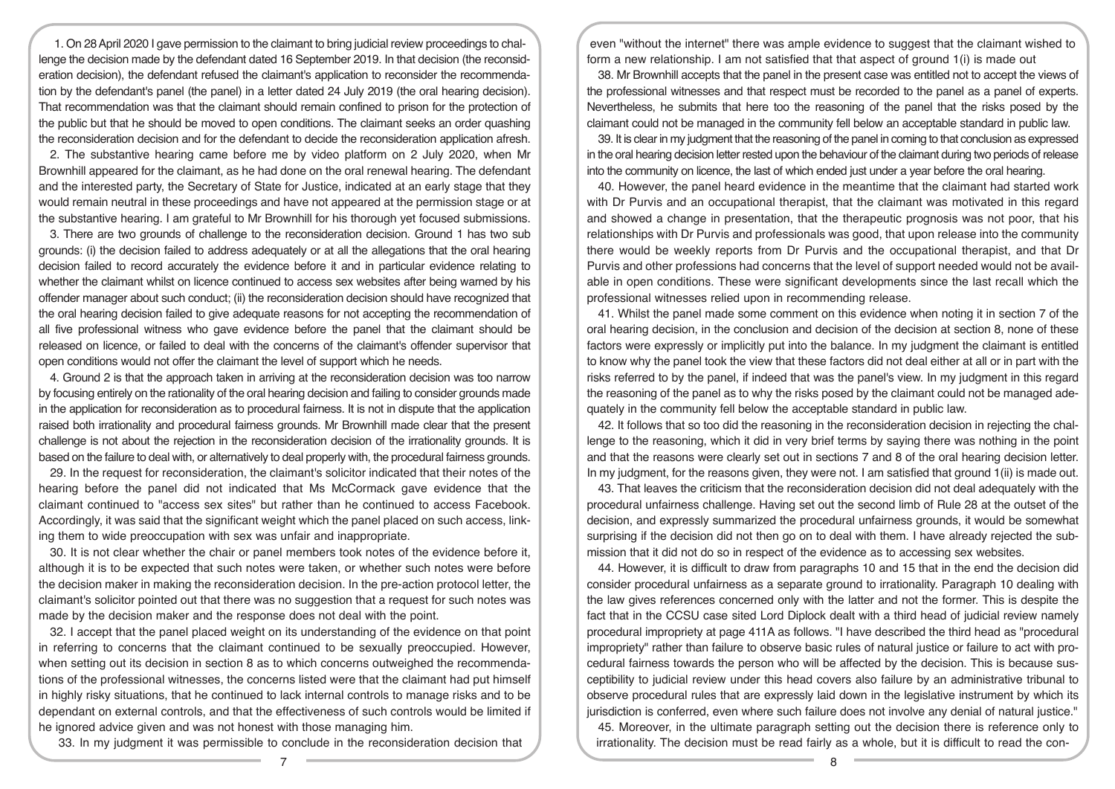1. On 28 April 2020 I gave permission to the claimant to bring judicial review proceedings to challenge the decision made by the defendant dated 16 September 2019. In that decision (the reconsideration decision), the defendant refused the claimant's application to reconsider the recommendation by the defendant's panel (the panel) in a letter dated 24 July 2019 (the oral hearing decision). That recommendation was that the claimant should remain confined to prison for the protection of the public but that he should be moved to open conditions. The claimant seeks an order quashing the reconsideration decision and for the defendant to decide the reconsideration application afresh.

2. The substantive hearing came before me by video platform on 2 July 2020, when Mr Brownhill appeared for the claimant, as he had done on the oral renewal hearing. The defendant and the interested party, the Secretary of State for Justice, indicated at an early stage that they would remain neutral in these proceedings and have not appeared at the permission stage or at the substantive hearing. I am grateful to Mr Brownhill for his thorough yet focused submissions.

3. There are two grounds of challenge to the reconsideration decision. Ground 1 has two sub grounds: (i) the decision failed to address adequately or at all the allegations that the oral hearing decision failed to record accurately the evidence before it and in particular evidence relating to whether the claimant whilst on licence continued to access sex websites after being warned by his offender manager about such conduct; (ii) the reconsideration decision should have recognized that the oral hearing decision failed to give adequate reasons for not accepting the recommendation of all five professional witness who gave evidence before the panel that the claimant should be released on licence, or failed to deal with the concerns of the claimant's offender supervisor that open conditions would not offer the claimant the level of support which he needs.

4. Ground 2 is that the approach taken in arriving at the reconsideration decision was too narrow by focusing entirely on the rationality of the oral hearing decision and failing to consider grounds made in the application for reconsideration as to procedural fairness. It is not in dispute that the application raised both irrationality and procedural fairness grounds. Mr Brownhill made clear that the present challenge is not about the rejection in the reconsideration decision of the irrationality grounds. It is based on the failure to deal with, or alternatively to deal properly with, the procedural fairness grounds.

29. In the request for reconsideration, the claimant's solicitor indicated that their notes of the hearing before the panel did not indicated that Ms McCormack gave evidence that the claimant continued to "access sex sites" but rather than he continued to access Facebook. Accordingly, it was said that the significant weight which the panel placed on such access, linking them to wide preoccupation with sex was unfair and inappropriate.

30. It is not clear whether the chair or panel members took notes of the evidence before it, although it is to be expected that such notes were taken, or whether such notes were before the decision maker in making the reconsideration decision. In the pre-action protocol letter, the claimant's solicitor pointed out that there was no suggestion that a request for such notes was made by the decision maker and the response does not deal with the point.

32. I accept that the panel placed weight on its understanding of the evidence on that point in referring to concerns that the claimant continued to be sexually preoccupied. However, when setting out its decision in section 8 as to which concerns outweighed the recommendations of the professional witnesses, the concerns listed were that the claimant had put himself in highly risky situations, that he continued to lack internal controls to manage risks and to be dependant on external controls, and that the effectiveness of such controls would be limited if he ignored advice given and was not honest with those managing him.

33. In my judgment it was permissible to conclude in the reconsideration decision that

even "without the internet" there was ample evidence to suggest that the claimant wished to form a new relationship. I am not satisfied that that aspect of ground 1(i) is made out

38. Mr Brownhill accepts that the panel in the present case was entitled not to accept the views of the professional witnesses and that respect must be recorded to the panel as a panel of experts. Nevertheless, he submits that here too the reasoning of the panel that the risks posed by the claimant could not be managed in the community fell below an acceptable standard in public law.

39. It is clear in my judgment that the reasoning of the panel in coming to that conclusion as expressed in the oral hearing decision letter rested upon the behaviour of the claimant during two periods of release into the community on licence, the last of which ended just under a year before the oral hearing.

40. However, the panel heard evidence in the meantime that the claimant had started work with Dr Purvis and an occupational therapist, that the claimant was motivated in this regard and showed a change in presentation, that the therapeutic prognosis was not poor, that his relationships with Dr Purvis and professionals was good, that upon release into the community there would be weekly reports from Dr Purvis and the occupational therapist, and that Dr Purvis and other professions had concerns that the level of support needed would not be available in open conditions. These were significant developments since the last recall which the professional witnesses relied upon in recommending release.

41. Whilst the panel made some comment on this evidence when noting it in section 7 of the oral hearing decision, in the conclusion and decision of the decision at section 8, none of these factors were expressly or implicitly put into the balance. In my judgment the claimant is entitled to know why the panel took the view that these factors did not deal either at all or in part with the risks referred to by the panel, if indeed that was the panel's view. In my judgment in this regard the reasoning of the panel as to why the risks posed by the claimant could not be managed adequately in the community fell below the acceptable standard in public law.

42. It follows that so too did the reasoning in the reconsideration decision in rejecting the challenge to the reasoning, which it did in very brief terms by saying there was nothing in the point and that the reasons were clearly set out in sections 7 and 8 of the oral hearing decision letter. In my judgment, for the reasons given, they were not. I am satisfied that ground 1(ii) is made out.

43. That leaves the criticism that the reconsideration decision did not deal adequately with the procedural unfairness challenge. Having set out the second limb of Rule 28 at the outset of the decision, and expressly summarized the procedural unfairness grounds, it would be somewhat surprising if the decision did not then go on to deal with them. I have already rejected the submission that it did not do so in respect of the evidence as to accessing sex websites.

44. However, it is difficult to draw from paragraphs 10 and 15 that in the end the decision did consider procedural unfairness as a separate ground to irrationality. Paragraph 10 dealing with the law gives references concerned only with the latter and not the former. This is despite the fact that in the CCSU case sited Lord Diplock dealt with a third head of judicial review namely procedural impropriety at page 411A as follows. "I have described the third head as "procedural impropriety" rather than failure to observe basic rules of natural justice or failure to act with procedural fairness towards the person who will be affected by the decision. This is because susceptibility to judicial review under this head covers also failure by an administrative tribunal to observe procedural rules that are expressly laid down in the legislative instrument by which its jurisdiction is conferred, even where such failure does not involve any denial of natural justice."

45. Moreover, in the ultimate paragraph setting out the decision there is reference only to irrationality. The decision must be read fairly as a whole, but it is difficult to read the con-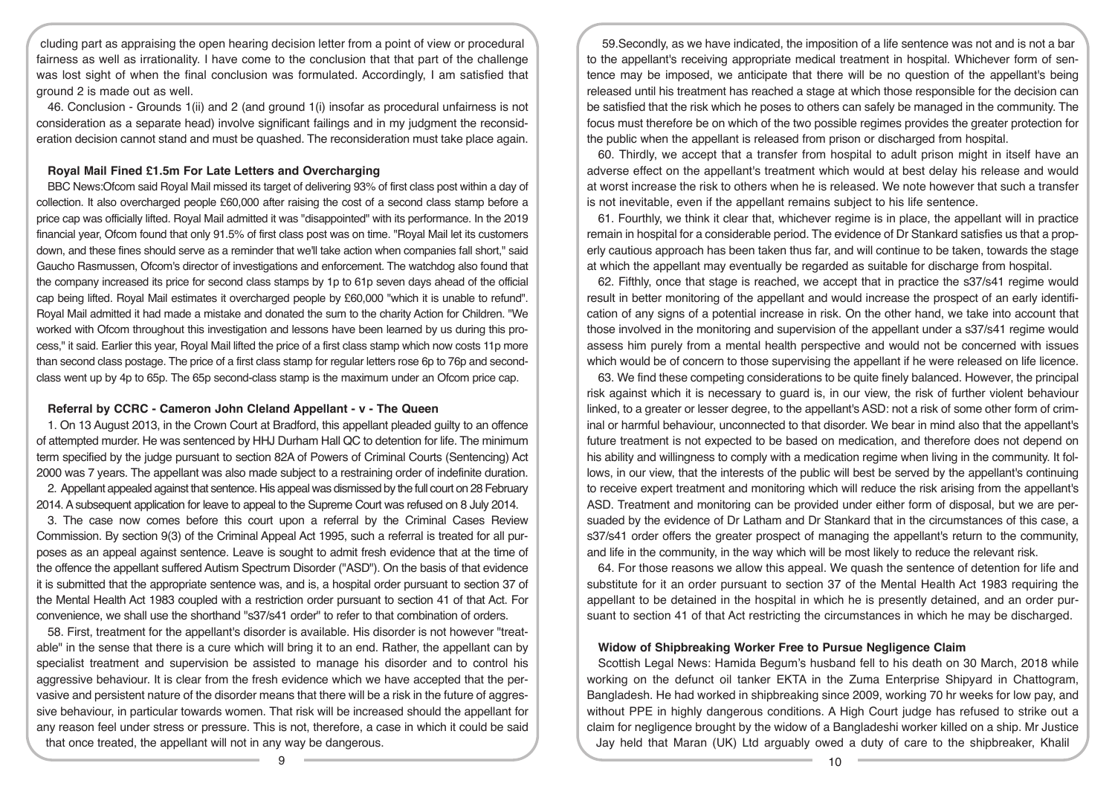cluding part as appraising the open hearing decision letter from a point of view or procedural fairness as well as irrationality. I have come to the conclusion that that part of the challenge was lost sight of when the final conclusion was formulated. Accordingly, I am satisfied that ground 2 is made out as well.

46. Conclusion - Grounds 1(ii) and 2 (and ground 1(i) insofar as procedural unfairness is not consideration as a separate head) involve significant failings and in my judgment the reconsideration decision cannot stand and must be quashed. The reconsideration must take place again.

## **Royal Mail Fined £1.5m For Late Letters and Overcharging**

BBC News:Ofcom said Royal Mail missed its target of delivering 93% of first class post within a day of collection. It also overcharged people £60,000 after raising the cost of a second class stamp before a price cap was officially lifted. Royal Mail admitted it was "disappointed" with its performance. In the 2019 financial year, Ofcom found that only 91.5% of first class post was on time. "Royal Mail let its customers down, and these fines should serve as a reminder that we'll take action when companies fall short," said Gaucho Rasmussen, Ofcom's director of investigations and enforcement. The watchdog also found that the company increased its price for second class stamps by 1p to 61p seven days ahead of the official cap being lifted. Royal Mail estimates it overcharged people by £60,000 "which it is unable to refund". Royal Mail admitted it had made a mistake and donated the sum to the charity Action for Children. "We worked with Ofcom throughout this investigation and lessons have been learned by us during this process," it said. Earlier this year, Royal Mail lifted the price of a first class stamp which now costs 11p more than second class postage. The price of a first class stamp for regular letters rose 6p to 76p and secondclass went up by 4p to 65p. The 65p second-class stamp is the maximum under an Ofcom price cap.

## **Referral by CCRC - Cameron John Cleland Appellant - v - The Queen**

1. On 13 August 2013, in the Crown Court at Bradford, this appellant pleaded guilty to an offence of attempted murder. He was sentenced by HHJ Durham Hall QC to detention for life. The minimum term specified by the judge pursuant to section 82A of Powers of Criminal Courts (Sentencing) Act 2000 was 7 years. The appellant was also made subject to a restraining order of indefinite duration.

2. Appellant appealed against that sentence. His appeal was dismissed by the full court on 28 February 2014. A subsequent application for leave to appeal to the Supreme Court was refused on 8 July 2014.

3. The case now comes before this court upon a referral by the Criminal Cases Review Commission. By section 9(3) of the Criminal Appeal Act 1995, such a referral is treated for all purposes as an appeal against sentence. Leave is sought to admit fresh evidence that at the time of the offence the appellant suffered Autism Spectrum Disorder ("ASD"). On the basis of that evidence it is submitted that the appropriate sentence was, and is, a hospital order pursuant to section 37 of the Mental Health Act 1983 coupled with a restriction order pursuant to section 41 of that Act. For convenience, we shall use the shorthand "s37/s41 order" to refer to that combination of orders.

58. First, treatment for the appellant's disorder is available. His disorder is not however "treatable" in the sense that there is a cure which will bring it to an end. Rather, the appellant can by specialist treatment and supervision be assisted to manage his disorder and to control his aggressive behaviour. It is clear from the fresh evidence which we have accepted that the pervasive and persistent nature of the disorder means that there will be a risk in the future of aggressive behaviour, in particular towards women. That risk will be increased should the appellant for any reason feel under stress or pressure. This is not, therefore, a case in which it could be said that once treated, the appellant will not in any way be dangerous.

59.Secondly, as we have indicated, the imposition of a life sentence was not and is not a bar to the appellant's receiving appropriate medical treatment in hospital. Whichever form of sentence may be imposed, we anticipate that there will be no question of the appellant's being released until his treatment has reached a stage at which those responsible for the decision can be satisfied that the risk which he poses to others can safely be managed in the community. The focus must therefore be on which of the two possible regimes provides the greater protection for the public when the appellant is released from prison or discharged from hospital.

60. Thirdly, we accept that a transfer from hospital to adult prison might in itself have an adverse effect on the appellant's treatment which would at best delay his release and would at worst increase the risk to others when he is released. We note however that such a transfer is not inevitable, even if the appellant remains subject to his life sentence.

61. Fourthly, we think it clear that, whichever regime is in place, the appellant will in practice remain in hospital for a considerable period. The evidence of Dr Stankard satisfies us that a properly cautious approach has been taken thus far, and will continue to be taken, towards the stage at which the appellant may eventually be regarded as suitable for discharge from hospital.

62. Fifthly, once that stage is reached, we accept that in practice the s37/s41 regime would result in better monitoring of the appellant and would increase the prospect of an early identification of any signs of a potential increase in risk. On the other hand, we take into account that those involved in the monitoring and supervision of the appellant under a s37/s41 regime would assess him purely from a mental health perspective and would not be concerned with issues which would be of concern to those supervising the appellant if he were released on life licence.

63. We find these competing considerations to be quite finely balanced. However, the principal risk against which it is necessary to guard is, in our view, the risk of further violent behaviour linked, to a greater or lesser degree, to the appellant's ASD: not a risk of some other form of criminal or harmful behaviour, unconnected to that disorder. We bear in mind also that the appellant's future treatment is not expected to be based on medication, and therefore does not depend on his ability and willingness to comply with a medication regime when living in the community. It follows, in our view, that the interests of the public will best be served by the appellant's continuing to receive expert treatment and monitoring which will reduce the risk arising from the appellant's ASD. Treatment and monitoring can be provided under either form of disposal, but we are persuaded by the evidence of Dr Latham and Dr Stankard that in the circumstances of this case, a s37/s41 order offers the greater prospect of managing the appellant's return to the community, and life in the community, in the way which will be most likely to reduce the relevant risk.

64. For those reasons we allow this appeal. We quash the sentence of detention for life and substitute for it an order pursuant to section 37 of the Mental Health Act 1983 requiring the appellant to be detained in the hospital in which he is presently detained, and an order pursuant to section 41 of that Act restricting the circumstances in which he may be discharged.

## **Widow of Shipbreaking Worker Free to Pursue Negligence Claim**

Scottish Legal News: Hamida Begum's husband fell to his death on 30 March, 2018 while working on the defunct oil tanker EKTA in the Zuma Enterprise Shipyard in Chattogram, Bangladesh. He had worked in shipbreaking since 2009, working 70 hr weeks for low pay, and without PPE in highly dangerous conditions. A High Court judge has refused to strike out a claim for negligence brought by the widow of a Bangladeshi worker killed on a ship. Mr Justice Jay held that Maran (UK) Ltd arguably owed a duty of care to the shipbreaker, Khalil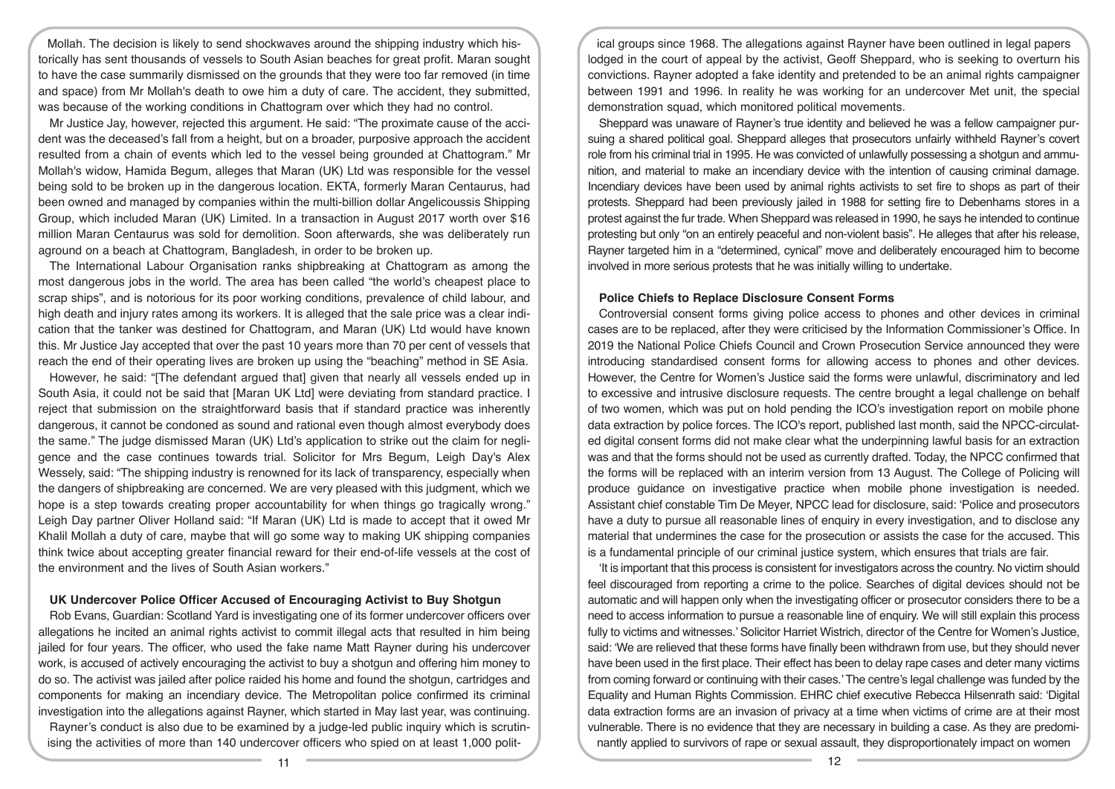Mollah. The decision is likely to send shockwaves around the shipping industry which historically has sent thousands of vessels to South Asian beaches for great profit. Maran sought to have the case summarily dismissed on the grounds that they were too far removed (in time and space) from Mr Mollah's death to owe him a duty of care. The accident, they submitted, was because of the working conditions in Chattogram over which they had no control.

Mr Justice Jay, however, rejected this argument. He said: "The proximate cause of the accident was the deceased's fall from a height, but on a broader, purposive approach the accident resulted from a chain of events which led to the vessel being grounded at Chattogram." Mr Mollah's widow, Hamida Begum, alleges that Maran (UK) Ltd was responsible for the vessel being sold to be broken up in the dangerous location. EKTA, formerly Maran Centaurus, had been owned and managed by companies within the multi-billion dollar Angelicoussis Shipping Group, which included Maran (UK) Limited. In a transaction in August 2017 worth over \$16 million Maran Centaurus was sold for demolition. Soon afterwards, she was deliberately run aground on a beach at Chattogram, Bangladesh, in order to be broken up.

The International Labour Organisation ranks shipbreaking at Chattogram as among the most dangerous jobs in the world. The area has been called "the world's cheapest place to scrap ships", and is notorious for its poor working conditions, prevalence of child labour, and high death and injury rates among its workers. It is alleged that the sale price was a clear indication that the tanker was destined for Chattogram, and Maran (UK) Ltd would have known this. Mr Justice Jay accepted that over the past 10 years more than 70 per cent of vessels that reach the end of their operating lives are broken up using the "beaching" method in SE Asia.

However, he said: "[The defendant argued that] given that nearly all vessels ended up in South Asia, it could not be said that [Maran UK Ltd] were deviating from standard practice. I reject that submission on the straightforward basis that if standard practice was inherently dangerous, it cannot be condoned as sound and rational even though almost everybody does the same." The judge dismissed Maran (UK) Ltd's application to strike out the claim for negligence and the case continues towards trial. Solicitor for Mrs Begum, Leigh Day's Alex Wessely, said: "The shipping industry is renowned for its lack of transparency, especially when the dangers of shipbreaking are concerned. We are very pleased with this judgment, which we hope is a step towards creating proper accountability for when things go tragically wrong." Leigh Day partner Oliver Holland said: "If Maran (UK) Ltd is made to accept that it owed Mr Khalil Mollah a duty of care, maybe that will go some way to making UK shipping companies think twice about accepting greater financial reward for their end-of-life vessels at the cost of the environment and the lives of South Asian workers."

## **UK Undercover Police Officer Accused of Encouraging Activist to Buy Shotgun**

Rob Evans, Guardian: Scotland Yard is investigating one of its former undercover officers over allegations he incited an animal rights activist to commit illegal acts that resulted in him being jailed for four years. The officer, who used the fake name Matt Rayner during his undercover work, is accused of actively encouraging the activist to buy a shotgun and offering him money to do so. The activist was jailed after police raided his home and found the shotgun, cartridges and components for making an incendiary device. The Metropolitan police confirmed its criminal investigation into the allegations against Rayner, which started in May last year, was continuing. Rayner's conduct is also due to be examined by a judge-led public inquiry which is scrutinising the activities of more than 140 undercover officers who spied on at least 1,000 polit-

ical groups since 1968. The allegations against Rayner have been outlined in legal papers lodged in the court of appeal by the activist, Geoff Sheppard, who is seeking to overturn his convictions. Rayner adopted a fake identity and pretended to be an animal rights campaigner between 1991 and 1996. In reality he was working for an undercover Met unit, the special demonstration squad, which monitored political movements.

Sheppard was unaware of Rayner's true identity and believed he was a fellow campaigner pursuing a shared political goal. Sheppard alleges that prosecutors unfairly withheld Rayner's covert role from his criminal trial in 1995. He was convicted of unlawfully possessing a shotgun and ammunition, and material to make an incendiary device with the intention of causing criminal damage. Incendiary devices have been used by animal rights activists to set fire to shops as part of their protests. Sheppard had been previously jailed in 1988 for setting fire to Debenhams stores in a protest against the fur trade. When Sheppard was released in 1990, he says he intended to continue protesting but only "on an entirely peaceful and non-violent basis". He alleges that after his release, Rayner targeted him in a "determined, cynical" move and deliberately encouraged him to become involved in more serious protests that he was initially willing to undertake.

## **Police Chiefs to Replace Disclosure Consent Forms**

Controversial consent forms giving police access to phones and other devices in criminal cases are to be replaced, after they were criticised by the Information Commissioner's Office. In 2019 the National Police Chiefs Council and Crown Prosecution Service announced they were introducing standardised consent forms for allowing access to phones and other devices. However, the Centre for Women's Justice said the forms were unlawful, discriminatory and led to excessive and intrusive disclosure requests. The centre brought a legal challenge on behalf of two women, which was put on hold pending the ICO's investigation report on mobile phone data extraction by police forces. The ICO's report, published last month, said the NPCC-circulated digital consent forms did not make clear what the underpinning lawful basis for an extraction was and that the forms should not be used as currently drafted. Today, the NPCC confirmed that the forms will be replaced with an interim version from 13 August. The College of Policing will produce guidance on investigative practice when mobile phone investigation is needed. Assistant chief constable Tim De Meyer, NPCC lead for disclosure, said: 'Police and prosecutors have a duty to pursue all reasonable lines of enquiry in every investigation, and to disclose any material that undermines the case for the prosecution or assists the case for the accused. This is a fundamental principle of our criminal justice system, which ensures that trials are fair.

'It is important that this process is consistent for investigators across the country. No victim should feel discouraged from reporting a crime to the police. Searches of digital devices should not be automatic and will happen only when the investigating officer or prosecutor considers there to be a need to access information to pursue a reasonable line of enquiry. We will still explain this process fully to victims and witnesses.' Solicitor Harriet Wistrich, director of the Centre for Women's Justice, said: 'We are relieved that these forms have finally been withdrawn from use, but they should never have been used in the first place. Their effect has been to delay rape cases and deter many victims from coming forward or continuing with their cases.' The centre's legal challenge was funded by the Equality and Human Rights Commission. EHRC chief executive Rebecca Hilsenrath said: 'Digital data extraction forms are an invasion of privacy at a time when victims of crime are at their most vulnerable. There is no evidence that they are necessary in building a case. As they are predominantly applied to survivors of rape or sexual assault, they disproportionately impact on women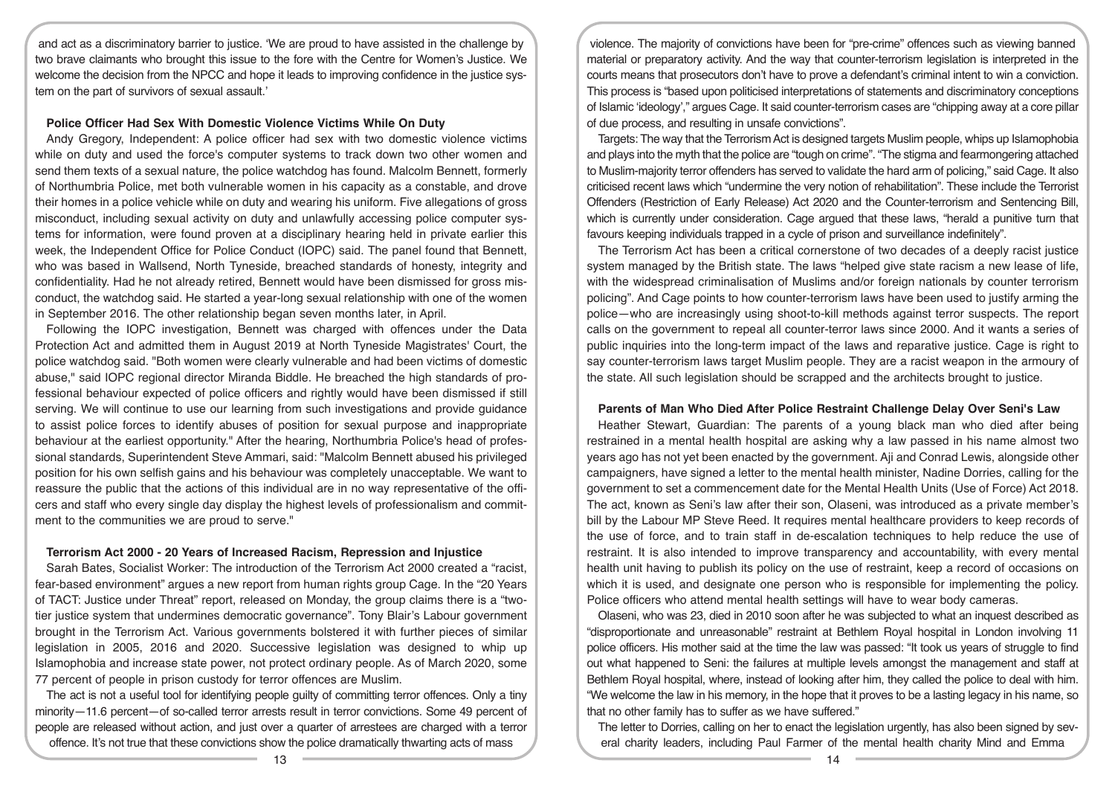and act as a discriminatory barrier to justice. 'We are proud to have assisted in the challenge by two brave claimants who brought this issue to the fore with the Centre for Women's Justice. We welcome the decision from the NPCC and hope it leads to improving confidence in the justice system on the part of survivors of sexual assault.'

# **Police Officer Had Sex With Domestic Violence Victims While On Duty**

Andy Gregory, Independent: A police officer had sex with two domestic violence victims while on duty and used the force's computer systems to track down two other women and send them texts of a sexual nature, the police watchdog has found. Malcolm Bennett, formerly of Northumbria Police, met both vulnerable women in his capacity as a constable, and drove their homes in a police vehicle while on duty and wearing his uniform. Five allegations of gross misconduct, including sexual activity on duty and unlawfully accessing police computer systems for information, were found proven at a disciplinary hearing held in private earlier this week, the Independent Office for Police Conduct (IOPC) said. The panel found that Bennett, who was based in Wallsend, North Tyneside, breached standards of honesty, integrity and confidentiality. Had he not already retired, Bennett would have been dismissed for gross misconduct, the watchdog said. He started a year-long sexual relationship with one of the women in September 2016. The other relationship began seven months later, in April.

Following the IOPC investigation, Bennett was charged with offences under the Data Protection Act and admitted them in August 2019 at North Tyneside Magistrates' Court, the police watchdog said. "Both women were clearly vulnerable and had been victims of domestic abuse," said IOPC regional director Miranda Biddle. He breached the high standards of professional behaviour expected of police officers and rightly would have been dismissed if still serving. We will continue to use our learning from such investigations and provide guidance to assist police forces to identify abuses of position for sexual purpose and inappropriate behaviour at the earliest opportunity." After the hearing, Northumbria Police's head of professional standards, Superintendent Steve Ammari, said: "Malcolm Bennett abused his privileged position for his own selfish gains and his behaviour was completely unacceptable. We want to reassure the public that the actions of this individual are in no way representative of the officers and staff who every single day display the highest levels of professionalism and commitment to the communities we are proud to serve."

#### **Terrorism Act 2000 - 20 Years of Increased Racism, Repression and Injustice**

Sarah Bates, Socialist Worker: The introduction of the Terrorism Act 2000 created a "racist, fear-based environment" argues a new report from human rights group Cage. In the "20 Years of TACT: Justice under Threat" report, released on Monday, the group claims there is a "twotier justice system that undermines democratic governance". Tony Blair's Labour government brought in the Terrorism Act. Various governments bolstered it with further pieces of similar legislation in 2005, 2016 and 2020. Successive legislation was designed to whip up Islamophobia and increase state power, not protect ordinary people. As of March 2020, some 77 percent of people in prison custody for terror offences are Muslim.

The act is not a useful tool for identifying people guilty of committing terror offences. Only a tiny minority—11.6 percent—of so-called terror arrests result in terror convictions. Some 49 percent of people are released without action, and just over a quarter of arrestees are charged with a terror offence. It's not true that these convictions show the police dramatically thwarting acts of mass

violence. The majority of convictions have been for "pre-crime" offences such as viewing banned material or preparatory activity. And the way that counter-terrorism legislation is interpreted in the courts means that prosecutors don't have to prove a defendant's criminal intent to win a conviction. This process is "based upon politicised interpretations of statements and discriminatory conceptions of Islamic 'ideology'," argues Cage. It said counter-terrorism cases are "chipping away at a core pillar of due process, and resulting in unsafe convictions".

Targets: The way that the Terrorism Act is designed targets Muslim people, whips up Islamophobia and plays into the myth that the police are "tough on crime". "The stigma and fearmongering attached to Muslim-majority terror offenders has served to validate the hard arm of policing," said Cage. It also criticised recent laws which "undermine the very notion of rehabilitation". These include the Terrorist Offenders (Restriction of Early Release) Act 2020 and the Counter-terrorism and Sentencing Bill, which is currently under consideration. Cage argued that these laws, "herald a punitive turn that favours keeping individuals trapped in a cycle of prison and surveillance indefinitely".

The Terrorism Act has been a critical cornerstone of two decades of a deeply racist justice system managed by the British state. The laws "helped give state racism a new lease of life, with the widespread criminalisation of Muslims and/or foreign nationals by counter terrorism policing". And Cage points to how counter-terrorism laws have been used to justify arming the police—who are increasingly using shoot-to-kill methods against terror suspects. The report calls on the government to repeal all counter-terror laws since 2000. And it wants a series of public inquiries into the long-term impact of the laws and reparative justice. Cage is right to say counter-terrorism laws target Muslim people. They are a racist weapon in the armoury of the state. All such legislation should be scrapped and the architects brought to justice.

## **Parents of Man Who Died After Police Restraint Challenge Delay Over Seni's Law**

Heather Stewart, Guardian: The parents of a young black man who died after being restrained in a mental health hospital are asking why a law passed in his name almost two years ago has not yet been enacted by the government. Aji and Conrad Lewis, alongside other campaigners, have signed a letter to the mental health minister, Nadine Dorries, calling for the government to set a commencement date for the Mental Health Units (Use of Force) Act 2018. The act, known as Seni's law after their son, Olaseni, was introduced as a private member's bill by the Labour MP Steve Reed. It requires mental healthcare providers to keep records of the use of force, and to train staff in de-escalation techniques to help reduce the use of restraint. It is also intended to improve transparency and accountability, with every mental health unit having to publish its policy on the use of restraint, keep a record of occasions on which it is used, and designate one person who is responsible for implementing the policy. Police officers who attend mental health settings will have to wear body cameras.

Olaseni, who was 23, died in 2010 soon after he was subjected to what an inquest described as "disproportionate and unreasonable" restraint at Bethlem Royal hospital in London involving 11 police officers. His mother said at the time the law was passed: "It took us years of struggle to find out what happened to Seni: the failures at multiple levels amongst the management and staff at Bethlem Royal hospital, where, instead of looking after him, they called the police to deal with him. "We welcome the law in his memory, in the hope that it proves to be a lasting legacy in his name, so that no other family has to suffer as we have suffered."

The letter to Dorries, calling on her to enact the legislation urgently, has also been signed by several charity leaders, including Paul Farmer of the mental health charity Mind and Emma